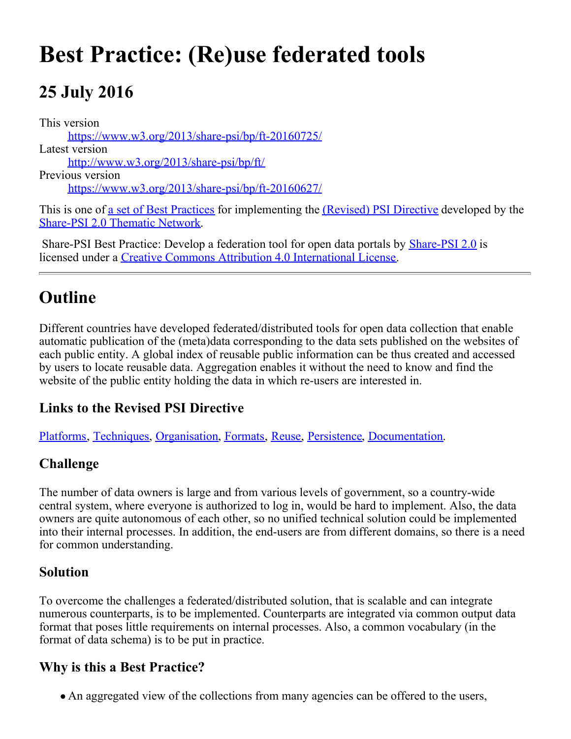# **Best Practice: (Re)use federated tools**

# **25 July 2016**

This version <https://www.w3.org/2013/share-psi/bp/ft-20160725/> Latest version [http://www.w3.org/2013/share-psi/bp/ft/](https://www.w3.org/2013/share-psi/bp/ft/) Previous version <https://www.w3.org/2013/share-psi/bp/ft-20160627/> This is one of <u>a set of Best Practices</u> for implementing the *(Revised)* PSI Directive developed by the

[Share-PSI 2.0 Thematic Network](http://www.w3.org/2013/share-psi/).

Share-PSI Best Practice: Develop a federation tool for open data portals by **[Share-PSI 2.0](http://www.w3.org/2013/share-psi/)** is licensed under a [Creative Commons Attribution 4.0 International License](http://creativecommons.org/licenses/by/4.0/).

# **Outline**

Different countries have developed federated/distributed tools for open data collection that enable automatic publication of the (meta)data corresponding to the data sets published on the websites of each public entity. A global index of reusable public information can be thus created and accessed by users to locate reusable data. Aggregation enables it without the need to know and find the website of the public entity holding the data in which re-users are interested in.

#### **Links to the Revised PSI Directive**

[Platforms](https://www.w3.org/2013/share-psi/bp/platforms/), [Techniques](https://www.w3.org/2013/share-psi/bp/techniques), [Organisation](https://www.w3.org/2013/share-psi/bp/organisation/), [Formats](https://www.w3.org/2013/share-psi/bp/formats/), [Reuse](https://www.w3.org/2013/share-psi/bp/reuse/), [Persistence](https://www.w3.org/2013/share-psi/bp/persistence/), [Documentation](https://www.w3.org/2013/share-psi/bp/documentation/).

#### **Challenge**

The number of data owners is large and from various levels of government, so a country-wide central system, where everyone is authorized to log in, would be hard to implement. Also, the data owners are quite autonomous of each other, so no unified technical solution could be implemented into their internal processes. In addition, the end-users are from different domains, so there is a need for common understanding.

#### **Solution**

To overcome the challenges a federated/distributed solution, that is scalable and can integrate numerous counterparts, is to be implemented. Counterparts are integrated via common output data format that poses little requirements on internal processes. Also, a common vocabulary (in the format of data schema) is to be put in practice.

#### **Why is this a Best Practice?**

An aggregated view of the collections from many agencies can be offered to the users,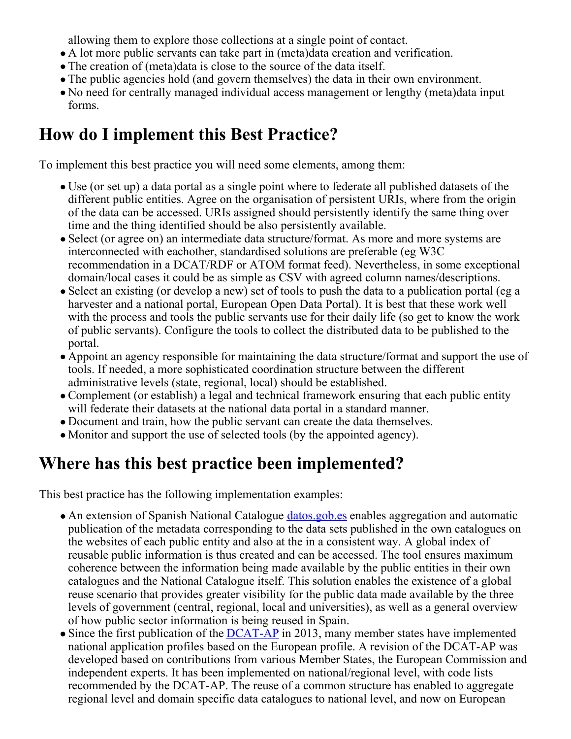allowing them to explore those collections at a single point of contact.

- A lot more public servants can take part in (meta)data creation and verification.
- The creation of (meta)data is close to the source of the data itself.
- The public agencies hold (and govern themselves) the data in their own environment.
- No need for centrally managed individual access management or lengthy (meta)data input forms.

# **How do I implement this Best Practice?**

To implement this best practice you will need some elements, among them:

- Use (or set up) a data portal as a single point where to federate all published datasets of the different public entities. Agree on the organisation of persistent URIs, where from the origin of the data can be accessed. URIs assigned should persistently identify the same thing over time and the thing identified should be also persistently available.
- Select (or agree on) an intermediate data structure/format. As more and more systems are interconnected with eachother, standardised solutions are preferable (eg W3C recommendation in a DCAT/RDF or ATOM format feed). Nevertheless, in some exceptional domain/local cases it could be as simple as CSV with agreed column names/descriptions.
- Select an existing (or develop a new) set of tools to push the data to a publication portal (eg a harvester and a national portal, European Open Data Portal). It is best that these work well with the process and tools the public servants use for their daily life (so get to know the work of public servants). Configure the tools to collect the distributed data to be published to the portal.
- Appoint an agency responsible for maintaining the data structure/format and support the use of tools. If needed, a more sophisticated coordination structure between the different administrative levels (state, regional, local) should be established.
- Complement (or establish) a legal and technical framework ensuring that each public entity will federate their datasets at the national data portal in a standard manner.
- Document and train, how the public servant can create the data themselves.
- Monitor and support the use of selected tools (by the appointed agency).

### **Where has this best practice been implemented?**

This best practice has the following implementation examples:

- An extension of Spanish National Catalogue *[datos.gob.es](http://datos.gob.es/)* enables aggregation and automatic publication of the metadata corresponding to the data sets published in the own catalogues on the websites of each public entity and also at the in a consistent way. A global index of reusable public information is thus created and can be accessed. The tool ensures maximum coherence between the information being made available by the public entities in their own catalogues and the National Catalogue itself. This solution enables the existence of a global reuse scenario that provides greater visibility for the public data made available by the three levels of government (central, regional, local and universities), as well as a general overview of how public sector information is being reused in Spain.
- $\bullet$  Since the first publication of the  $\overline{DCAT-AP}$  in 2013, many member states have implemented national application profiles based on the European profile. A revision of the DCAT-AP was developed based on contributions from various Member States, the European Commission and independent experts. It has been implemented on national/regional level, with code lists recommended by the DCAT-AP. The reuse of a common structure has enabled to aggregate regional level and domain specific data catalogues to national level, and now on European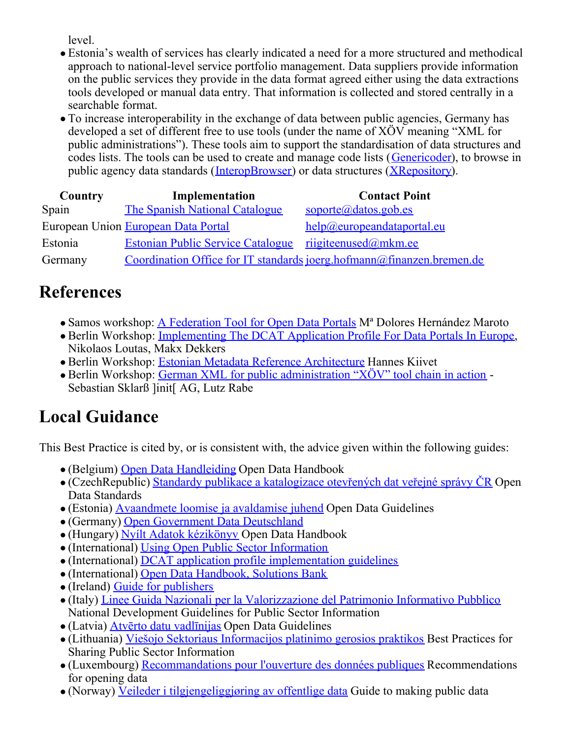level.

- Estonia's wealth of services has clearly indicated a need for a more structured and methodical approach to national-level service portfolio management. Data suppliers provide information on the public services they provide in the data format agreed either using the data extractions tools developed or manual data entry. That information is collected and stored centrally in a searchable format.
- To increase interoperability in the exchange of data between public agencies, Germany has developed a set of different free to use tools (under the name of XÖV meaning "XML for public administrations"). These tools aim to support the standardisation of data structures and codes lists. The tools can be used to create and manage code lists ([Genericoder](http://genericoder.xoev.de/)), to browse in public agency data standards ([InteropBrowser](http://interopbrowser.xoev.de/)) or data structures ([XRepository](http://www.xrepository.de/)).

| Country | Implementation                                         | <b>Contact Point</b>                                                  |
|---------|--------------------------------------------------------|-----------------------------------------------------------------------|
| Spain   | The Spanish National Catalogue                         | soporte@datos.gob.es                                                  |
|         | European Union European Data Portal                    | help@europeandataportal.eu                                            |
| Estonia | Estonian Public Service Catalogue riigiteenused@mkm.ee |                                                                       |
| Germany |                                                        | Coordination Office for IT standards joerg.hofmann@finanzen.bremen.de |

#### **References**

- Samos workshop: [A Federation Tool for Open Data Portals](https://www.w3.org/2013/share-psi/wiki/images/c/cc/Share-PSI_FederationTool_v03_en_paper_SCG.pdf) M<sup>ª</sup> Dolores Hernández Maroto
- Berlin Workshop: [Implementing The DCAT Application Profile For Data Portals In Europe](https://www.w3.org/2013/share-psi/wiki/images/6/65/Share-PSI_Berlin_Workshop_DCAT-AP_session_proposal_v0.03.pdf), Nikolaos Loutas, Makx Dekkers
- Berlin Workshop: [Estonian Metadata Reference Architecture](https://www.w3.org/2013/share-psi/wiki/images/0/0e/Pilot_Description_(Extract).pdf) Hannes Kiivet
- Berlin Workshop: [German XML for public administration "XÖV" tool chain in action](https://www.w3.org/2013/share-psi/workshop/berlin/XOEV) Sebastian Sklarß ]init[ AG, Lutz Rabe

# **Local Guidance**

This Best Practice is cited by, or is consistent with, the advice given within the following guides:

- (Belgium) [Open Data Handleiding](https://www.w3.org/2013/share-psi/lg/Belgium#vlGuide) Open Data Handbook
- $\bullet$  (CzechRepublic) [Standardy publikace a katalogizace otevřených dat veřejné správy ČR](https://www.w3.org/2013/share-psi/lg/CzechRepublic#czOpenDataStandards) Open Data Standards
- (Estonia) [Avaandmete loomise ja avaldamise juhend](https://www.w3.org/2013/share-psi/lg/Estonia#eeGuide) Open Data Guidelines
- (Germany) [Open Government Data Deutschland](https://www.w3.org/2013/share-psi/lg/Germany#deGuide)
- (Hungary) [Nyílt Adatok kézikönyv](https://www.w3.org/2013/share-psi/lg/Hungary#huGuide) Open Data Handbook
- (International) [Using Open Public Sector Information](https://www.w3.org/2013/share-psi/lg/International#togGuide)
- (International) [DCAT application profile implementation guidelines](https://www.w3.org/2013/share-psi/lg/International#dcatap)
- (International) [Open Data Handbook, Solutions Bank](https://www.w3.org/2013/share-psi/lg/International#okhbsb)
- (Ireland) [Guide for publishers](https://www.w3.org/2013/share-psi/lg/Ireland#ieOpenData)
- (Italy) [Linee Guida Nazionali per la Valorizzazione del Patrimonio Informativo Pubblico](https://www.w3.org/2013/share-psi/lg/Italy#itGuide) National Development Guidelines for Public Sector Information
- (Latvia) [Atvērto datu vadlīnijas](https://www.w3.org/2013/share-psi/lg/Latvia#lvGuide) Open Data Guidelines
- (Lithuania) [Viešojo Sektoriaus Informacijos platinimo gerosios praktikos](https://www.w3.org/2013/share-psi/lg/Lithuania#ltGuide) Best Practices for Sharing Public Sector Information
- (Luxembourg) [Recommandations pour l'ouverture des données publiques](https://www.w3.org/2013/share-psi/lg/Luxembourg#luGuide) Recommendations for opening data
- (Norway) [Veileder i tilgjengeliggjøring av offentlige data](https://www.w3.org/2013/share-psi/lg/Norway#noOpenData) Guide to making public data